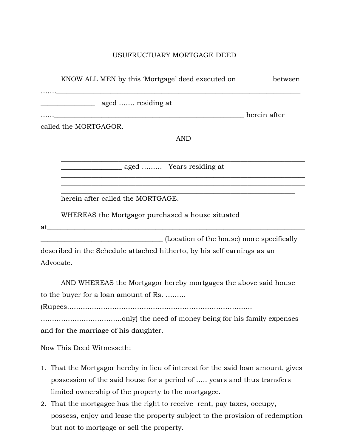## USUFRUCTUARY MORTGAGE DEED

|           | KNOW ALL MEN by this 'Mortgage' deed executed on                                 | between |
|-----------|----------------------------------------------------------------------------------|---------|
|           |                                                                                  |         |
|           |                                                                                  |         |
|           |                                                                                  |         |
|           | called the MORTGAGOR.                                                            |         |
|           | <b>AND</b>                                                                       |         |
|           |                                                                                  |         |
|           | aged  Years residing at                                                          |         |
|           |                                                                                  |         |
|           | herein after called the MORTGAGE.                                                |         |
|           | WHEREAS the Mortgagor purchased a house situated                                 |         |
| at        |                                                                                  |         |
|           | (Location of the house) more specifically                                        |         |
|           | described in the Schedule attached hitherto, by his self earnings as an          |         |
| Advocate. |                                                                                  |         |
|           | AND WHEREAS the Mortgagor hereby mortgages the above said house                  |         |
|           | to the buyer for a loan amount of Rs.                                            |         |
|           |                                                                                  |         |
|           |                                                                                  |         |
|           | and for the marriage of his daughter.                                            |         |
|           | Now This Deed Witnesseth:                                                        |         |
|           | 1. That the Mortgagor hereby in lieu of interest for the said loan amount, gives |         |
|           | possession of the said house for a period of  years and thus transfers           |         |
|           | limited ownership of the property to the mortgagee.                              |         |

2. That the mortgagee has the right to receive rent, pay taxes, occupy, possess, enjoy and lease the property subject to the provision of redemption but not to mortgage or sell the property.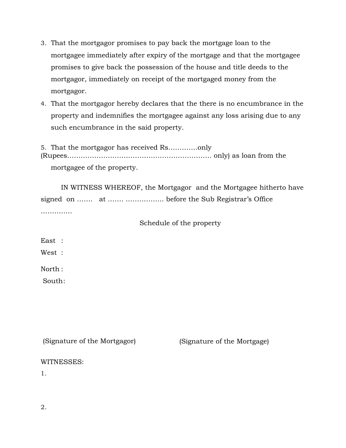- 3. That the mortgagor promises to pay back the mortgage loan to the mortgagee immediately after expiry of the mortgage and that the mortgagee promises to give back the possession of the house and title deeds to the mortgagor, immediately on receipt of the mortgaged money from the mortgagor.
- 4. That the mortgagor hereby declares that the there is no encumbrance in the property and indemnifies the mortgagee against any loss arising due to any such encumbrance in the said property.

5. That the mortgagor has received Rs………….only (Rupees………………………………………………………. only) as loan from the mortgagee of the property.

IN WITNESS WHEREOF, the Mortgagor and the Mortgagee hitherto have signed on ……. at ……. …………….. before the Sub Registrar's Office ……………

Schedule of the property

East :

West :

North :

South:

(Signature of the Mortgagor) (Signature of the Mortgage) WITNESSES:

1.

2.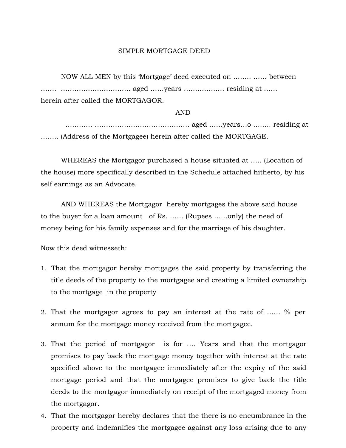## SIMPLE MORTGAGE DEED

NOW ALL MEN by this 'Mortgage' deed executed on …….. …… between ……. …………………………. aged ……years ……………… residing at …… herein after called the MORTGAGOR.

AND

………… …………………………………… aged ……years…o …….. residing at …….. (Address of the Mortgagee) herein after called the MORTGAGE.

WHEREAS the Mortgagor purchased a house situated at ….. (Location of the house) more specifically described in the Schedule attached hitherto, by his self earnings as an Advocate.

AND WHEREAS the Mortgagor hereby mortgages the above said house to the buyer for a loan amount of Rs. …… (Rupees ……only) the need of money being for his family expenses and for the marriage of his daughter.

Now this deed witnesseth:

- 1. That the mortgagor hereby mortgages the said property by transferring the title deeds of the property to the mortgagee and creating a limited ownership to the mortgage in the property
- 2. That the mortgagor agrees to pay an interest at the rate of …… % per annum for the mortgage money received from the mortgagee.
- 3. That the period of mortgagor is for …. Years and that the mortgagor promises to pay back the mortgage money together with interest at the rate specified above to the mortgagee immediately after the expiry of the said mortgage period and that the mortgagee promises to give back the title deeds to the mortgagor immediately on receipt of the mortgaged money from the mortgagor.
- 4. That the mortgagor hereby declares that the there is no encumbrance in the property and indemnifies the mortgagee against any loss arising due to any